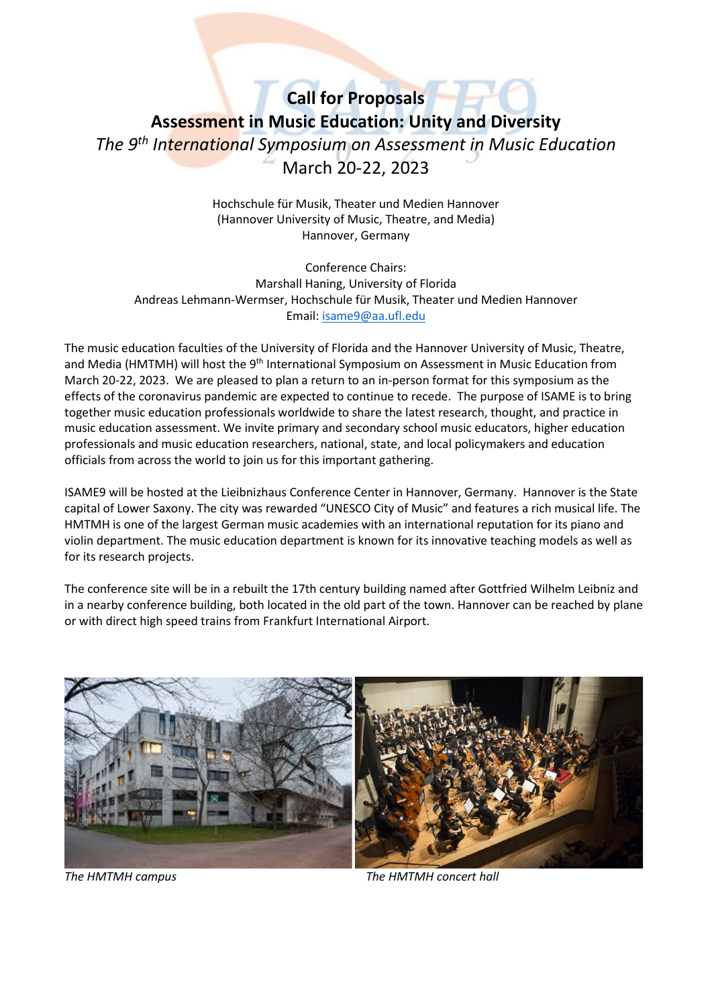# **Call for Proposals Assessment in Music Education: Unity and Diversity** *The 9 th International Symposium on Assessment in Music Education*  March 20-22, 2023

Hochschule für Musik, Theater und Medien Hannover (Hannover University of Music, Theatre, and Media) Hannover, Germany

Conference Chairs: Marshall Haning, University of Florida Andreas Lehmann-Wermser, Hochschule für Musik, Theater und Medien Hannover Email: [isame9@aa.ufl.edu](mailto:isame9@aa.ufl.edu)

The music education faculties of the University of Florida and the Hannover University of Music, Theatre, and Media (HMTMH) will host the 9<sup>th</sup> International Symposium on Assessment in Music Education from March 20-22, 2023. We are pleased to plan a return to an in-person format for this symposium as the effects of the coronavirus pandemic are expected to continue to recede. The purpose of ISAME is to bring together music education professionals worldwide to share the latest research, thought, and practice in music education assessment. We invite primary and secondary school music educators, higher education professionals and music education researchers, national, state, and local policymakers and education officials from across the world to join us for this important gathering.

ISAME9 will be hosted at the Lieibnizhaus Conference Center in Hannover, Germany. Hannover is the State capital of Lower Saxony. The city was rewarded "UNESCO City of Music" and features a rich musical life. The HMTMH is one of the largest German music academies with an international reputation for its piano and violin department. The music education department is known for its innovative teaching models as well as for its research projects.

The conference site will be in a rebuilt the 17th century building named after Gottfried Wilhelm Leibniz and in a nearby conference building, both located in the old part of the town. Hannover can be reached by plane or with direct high speed trains from Frankfurt International Airport.



*The HMTMH campus The HMTMH concert hall*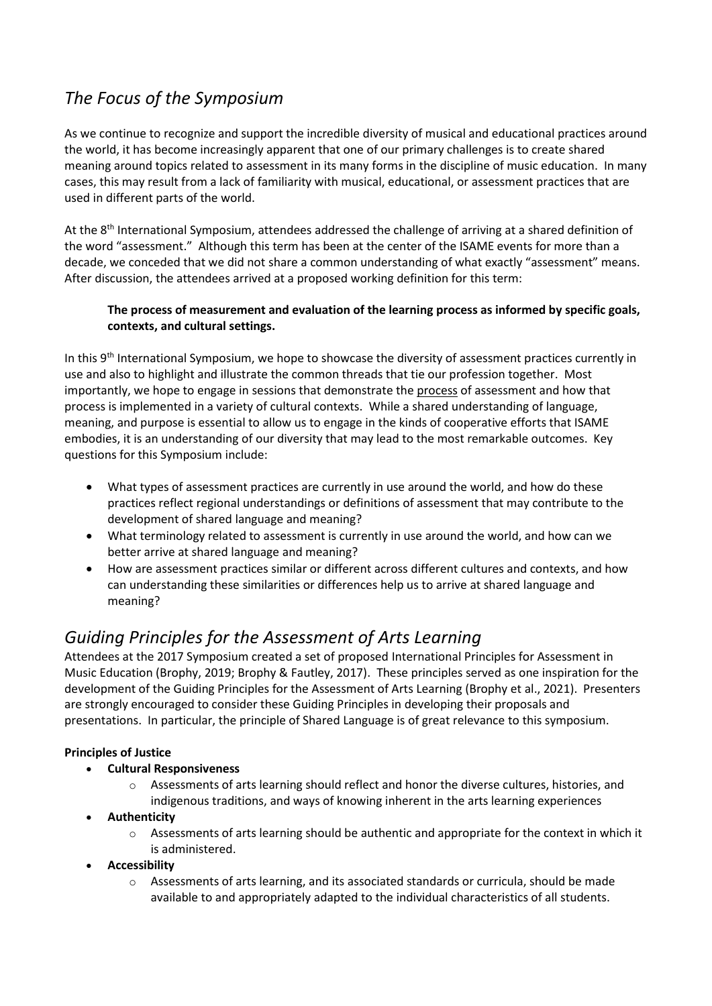## *The Focus of the Symposium*

As we continue to recognize and support the incredible diversity of musical and educational practices around the world, it has become increasingly apparent that one of our primary challenges is to create shared meaning around topics related to assessment in its many forms in the discipline of music education. In many cases, this may result from a lack of familiarity with musical, educational, or assessment practices that are used in different parts of the world.

At the 8<sup>th</sup> International Symposium, attendees addressed the challenge of arriving at a shared definition of the word "assessment." Although this term has been at the center of the ISAME events for more than a decade, we conceded that we did not share a common understanding of what exactly "assessment" means. After discussion, the attendees arrived at a proposed working definition for this term:

### **The process of measurement and evaluation of the learning process as informed by specific goals, contexts, and cultural settings.**

In this 9<sup>th</sup> International Symposium, we hope to showcase the diversity of assessment practices currently in use and also to highlight and illustrate the common threads that tie our profession together. Most importantly, we hope to engage in sessions that demonstrate the process of assessment and how that process is implemented in a variety of cultural contexts. While a shared understanding of language, meaning, and purpose is essential to allow us to engage in the kinds of cooperative efforts that ISAME embodies, it is an understanding of our diversity that may lead to the most remarkable outcomes. Key questions for this Symposium include:

- What types of assessment practices are currently in use around the world, and how do these practices reflect regional understandings or definitions of assessment that may contribute to the development of shared language and meaning?
- What terminology related to assessment is currently in use around the world, and how can we better arrive at shared language and meaning?
- How are assessment practices similar or different across different cultures and contexts, and how can understanding these similarities or differences help us to arrive at shared language and meaning?

## *Guiding Principles for the Assessment of Arts Learning*

Attendees at the 2017 Symposium created a set of proposed International Principles for Assessment in Music Education (Brophy, 2019; Brophy & Fautley, 2017). These principles served as one inspiration for the development of the Guiding Principles for the Assessment of Arts Learning (Brophy et al., 2021). Presenters are strongly encouraged to consider these Guiding Principles in developing their proposals and presentations. In particular, the principle of Shared Language is of great relevance to this symposium.

### **Principles of Justice**

- **Cultural Responsiveness**
	- $\circ$  Assessments of arts learning should reflect and honor the diverse cultures, histories, and indigenous traditions, and ways of knowing inherent in the arts learning experiences
- **Authenticity** 
	- $\circ$  Assessments of arts learning should be authentic and appropriate for the context in which it is administered.
- **Accessibility** 
	- $\circ$  Assessments of arts learning, and its associated standards or curricula, should be made available to and appropriately adapted to the individual characteristics of all students.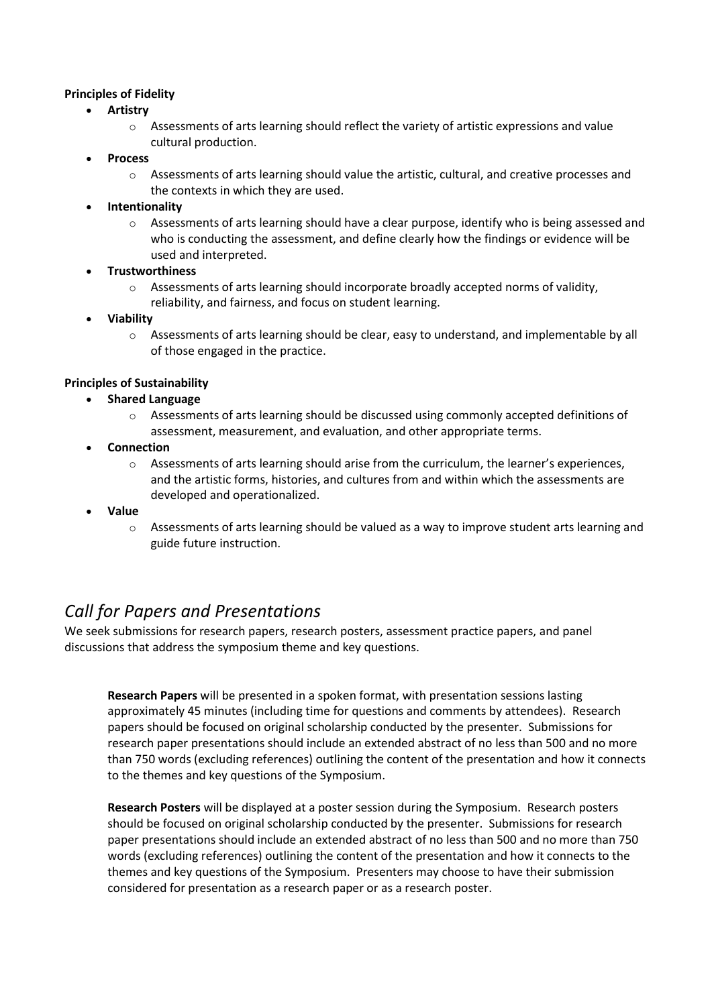#### **Principles of Fidelity**

- **Artistry** 
	- $\circ$  Assessments of arts learning should reflect the variety of artistic expressions and value cultural production.
- **Process** 
	- $\circ$  Assessments of arts learning should value the artistic, cultural, and creative processes and the contexts in which they are used.
- **Intentionality** 
	- $\circ$  Assessments of arts learning should have a clear purpose, identify who is being assessed and who is conducting the assessment, and define clearly how the findings or evidence will be used and interpreted.
- **Trustworthiness** 
	- o Assessments of arts learning should incorporate broadly accepted norms of validity, reliability, and fairness, and focus on student learning.
- **Viability** 
	- $\circ$  Assessments of arts learning should be clear, easy to understand, and implementable by all of those engaged in the practice.

### **Principles of Sustainability**

- **Shared Language**
	- $\circ$  Assessments of arts learning should be discussed using commonly accepted definitions of assessment, measurement, and evaluation, and other appropriate terms.
- **Connection** 
	- o Assessments of arts learning should arise from the curriculum, the learner's experiences, and the artistic forms, histories, and cultures from and within which the assessments are developed and operationalized.
- **Value** 
	- $\circ$  Assessments of arts learning should be valued as a way to improve student arts learning and guide future instruction.

## *Call for Papers and Presentations*

We seek submissions for research papers, research posters, assessment practice papers, and panel discussions that address the symposium theme and key questions.

**Research Papers** will be presented in a spoken format, with presentation sessions lasting approximately 45 minutes (including time for questions and comments by attendees). Research papers should be focused on original scholarship conducted by the presenter. Submissions for research paper presentations should include an extended abstract of no less than 500 and no more than 750 words (excluding references) outlining the content of the presentation and how it connects to the themes and key questions of the Symposium.

**Research Posters** will be displayed at a poster session during the Symposium. Research posters should be focused on original scholarship conducted by the presenter. Submissions for research paper presentations should include an extended abstract of no less than 500 and no more than 750 words (excluding references) outlining the content of the presentation and how it connects to the themes and key questions of the Symposium. Presenters may choose to have their submission considered for presentation as a research paper or as a research poster.